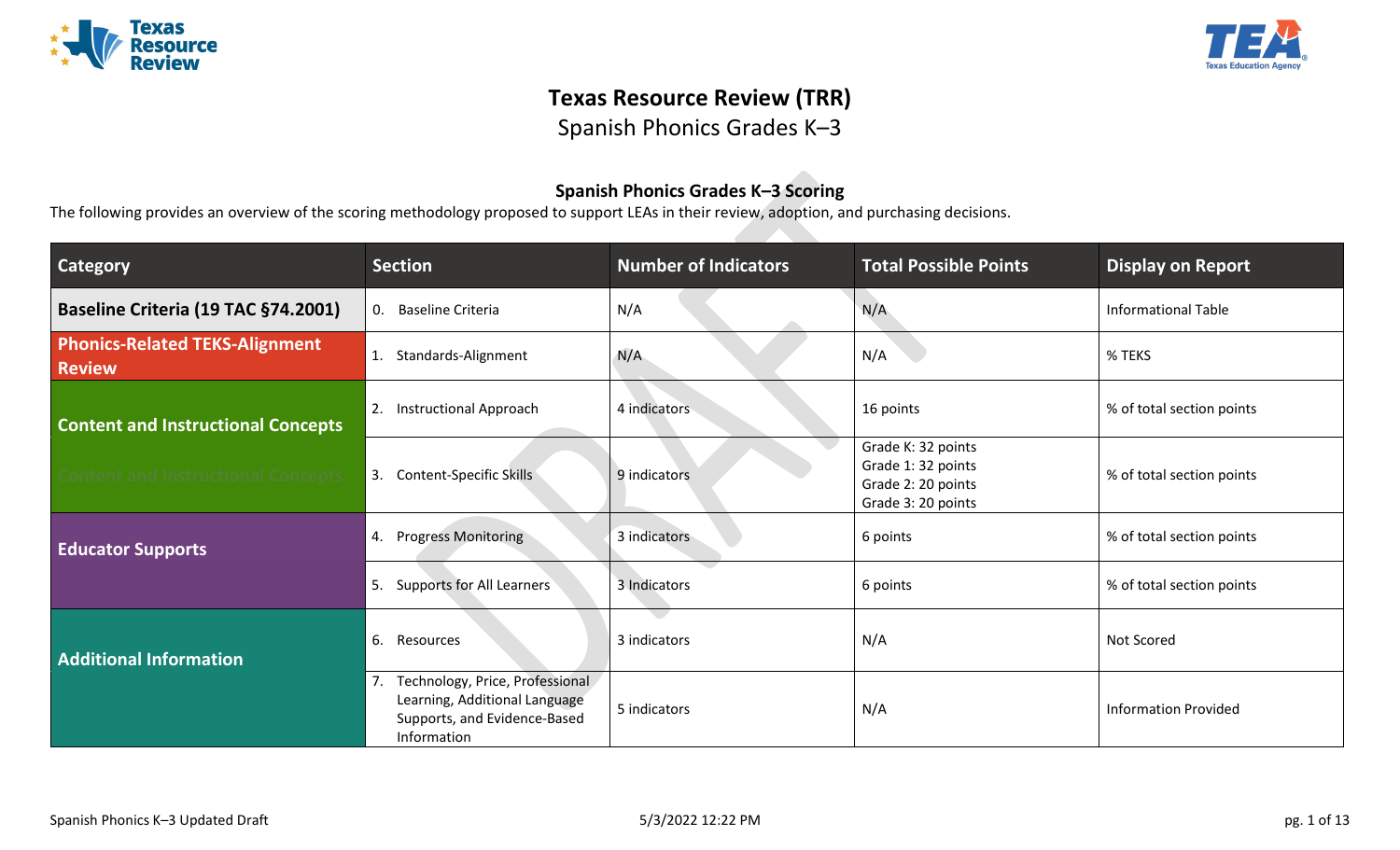



# **Texas Resource Review (TRR)**

Spanish Phonics Grades K–3

## **Spanish Phonics Grades K–3 Scoring**

The following provides an overview of the scoring methodology proposed to support LEAs in their review, adoption, and purchasing decisions.

| <b>Category</b>                                        | <b>Section</b>                                                                                                        | <b>Number of Indicators</b> | <b>Total Possible Points</b>                                                        | <b>Display on Report</b>    |
|--------------------------------------------------------|-----------------------------------------------------------------------------------------------------------------------|-----------------------------|-------------------------------------------------------------------------------------|-----------------------------|
| Baseline Criteria (19 TAC §74.2001)                    | <b>Baseline Criteria</b><br>0.                                                                                        | N/A                         | N/A                                                                                 | <b>Informational Table</b>  |
| <b>Phonics-Related TEKS-Alignment</b><br><b>Review</b> | Standards-Alignment<br>1.                                                                                             | N/A                         | N/A                                                                                 | % TEKS                      |
| <b>Content and Instructional Concepts</b>              | Instructional Approach<br>2.                                                                                          | 4 indicators                | 16 points                                                                           | % of total section points   |
| <b>Content and Instructional Concepts</b>              | Content-Specific Skills<br>3.                                                                                         | 9 indicators                | Grade K: 32 points<br>Grade 1:32 points<br>Grade 2: 20 points<br>Grade 3: 20 points | % of total section points   |
| <b>Educator Supports</b>                               | 4. Progress Monitoring                                                                                                | 3 indicators                | 6 points                                                                            | % of total section points   |
|                                                        | <b>Supports for All Learners</b><br>"5.                                                                               | 3 Indicators                | 6 points                                                                            | % of total section points   |
| <b>Additional Information</b>                          | 6.<br>Resources                                                                                                       | 3 indicators                | N/A                                                                                 | Not Scored                  |
|                                                        | Technology, Price, Professional<br>7.<br>Learning, Additional Language<br>Supports, and Evidence-Based<br>Information | 5 indicators                | N/A                                                                                 | <b>Information Provided</b> |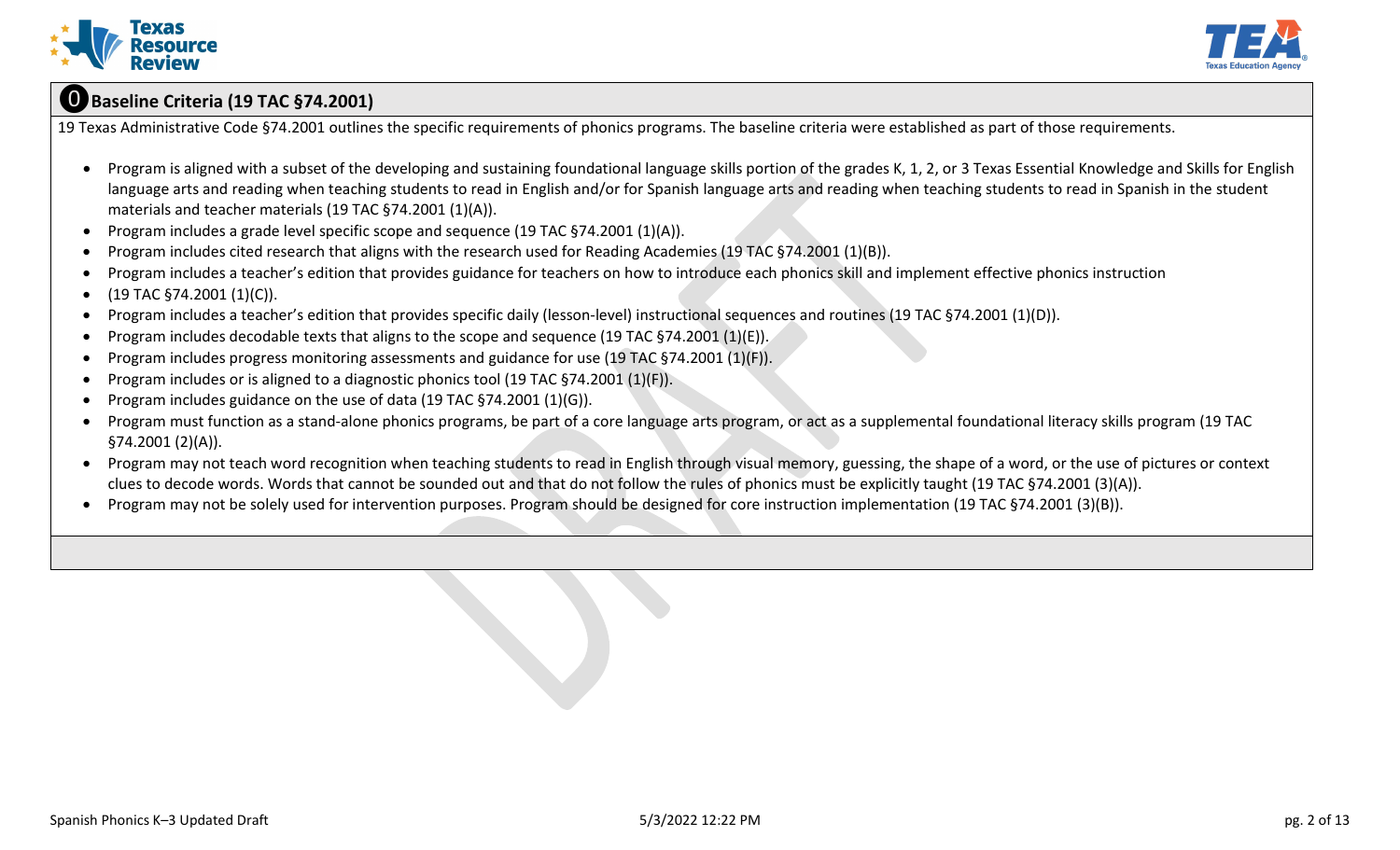



## ⓿**Baseline Criteria (19 TAC §74.2001)**

19 Texas Administrative Code §74.2001 outlines the specific requirements of phonics programs. The baseline criteria were established as part of those requirements.

- Program is aligned with a subset of the developing and sustaining foundational language skills portion of the grades K, 1, 2, or 3 Texas Essential Knowledge and Skills for English language arts and reading when teaching students to read in English and/or for Spanish language arts and reading when teaching students to read in Spanish in the student materials and teacher materials (19 TAC §74.2001 (1)(A)).
- Program includes a grade level specific scope and sequence (19 TAC §74.2001 (1)(A)).
- Program includes cited research that aligns with the research used for Reading Academies (19 TAC §74.2001 (1)(B)).
- Program includes a teacher's edition that provides guidance for teachers on how to introduce each phonics skill and implement effective phonics instruction
- $(19 \text{ TAC } $74.2001 (1)(C)).$
- Program includes a teacher's edition that provides specific daily (lesson-level) instructional sequences and routines (19 TAC §74.2001 (1)(D)).
- Program includes decodable texts that aligns to the scope and sequence (19 TAC §74.2001 (1)(E)).
- Program includes progress monitoring assessments and guidance for use (19 TAC §74.2001 (1)(F)).
- Program includes or is aligned to a diagnostic phonics tool (19 TAC §74.2001 (1)(F)).
- Program includes guidance on the use of data (19 TAC §74.2001 (1)(G)).
- Program must function as a stand-alone phonics programs, be part of a core language arts program, or act as a supplemental foundational literacy skills program (19 TAC §74.2001 (2)(A)).
- Program may not teach word recognition when teaching students to read in English through visual memory, guessing, the shape of a word, or the use of pictures or context clues to decode words. Words that cannot be sounded out and that do not follow the rules of phonics must be explicitly taught (19 TAC §74.2001 (3)(A)).
- Program may not be solely used for intervention purposes. Program should be designed for core instruction implementation (19 TAC §74.2001 (3)(B)).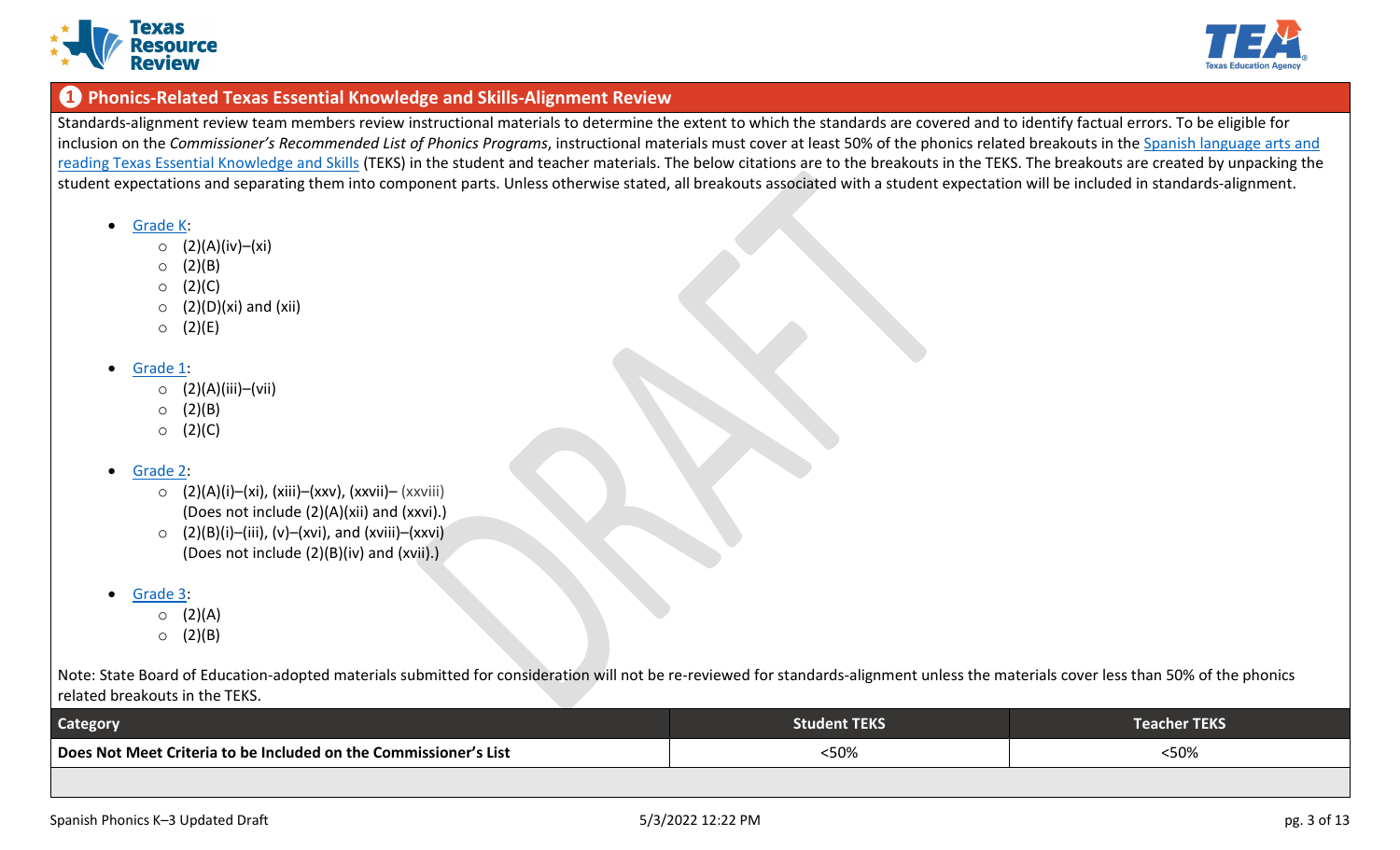



### **❶ Phonics-Related Texas Essential Knowledge and Skills-Alignment Review**

Standards-alignment review team members review instructional materials to determine the extent to which the standards are covered and to identify factual errors. To be eligible for inclusion on the *Commissioner's Recommended List of Phonics Programs*, instructional materials must cover at least 50% of the phonics related breakouts in the [Spanish language arts and](https://tea.texas.gov/academics/instructional-materials/review-and-adoption-process/review-and-adoption-breakout-documents)  [reading Texas Essential Knowledge and Skills](https://tea.texas.gov/academics/instructional-materials/review-and-adoption-process/review-and-adoption-breakout-documents) (TEKS) in the student and teacher materials. The below citations are to the breakouts in the TEKS. The breakouts are created by unpacking the student expectations and separating them into component parts. Unless otherwise stated, all breakouts associated with a student expectation will be included in standards-alignment.

- [Grade K:](https://tea.texas.gov/sites/default/files/p2019_breakout_slar-grade-k.pdf)
	- o (2)(A)(iv)–(xi)
	- $O(2)(B)$
	- $O (2)(C)$
	- $\circ$  (2)(D)(xi) and (xii)
	- $O (2)(E)$

#### • [Grade 1:](https://tea.texas.gov/sites/default/files/P2019_Breakout_SLAR%20Grade%201_Revised%2012-18-17.pdf)

- o (2)(A)(iii)–(vii)
- $O (2)(B)$
- $O (2)(C)$

#### • [Grade 2:](https://tea.texas.gov/sites/default/files/P2019_Breakout_SLAR%20Grade%202_Final.pdf)

- o (2)(A)(i)–(xi), (xiii)–(xxv), (xxvii)– (xxviii) (Does not include (2)(A)(xii) and (xxvi).)
- $\circ$  (2)(B)(i)–(iii), (v)–(xvi), and (xviii)–(xxvi) (Does not include (2)(B)(iv) and (xvii).)

#### • [Grade 3:](https://tea.texas.gov/sites/default/files/P2019_Breakout_SLAR%20Grade%203.pdf)

- $O (2)(A)$
- $O(2)(B)$

Note: State Board of Education-adopted materials submitted for consideration will not be re-reviewed for standards-alignment unless the materials cover less than 50% of the phonics related breakouts in the TEKS.

| <b>Category</b>                                                  | Student TEKS | <b>Teacher TEKS</b> |
|------------------------------------------------------------------|--------------|---------------------|
| Does Not Meet Criteria to be Included on the Commissioner's List | :50%         | <50%                |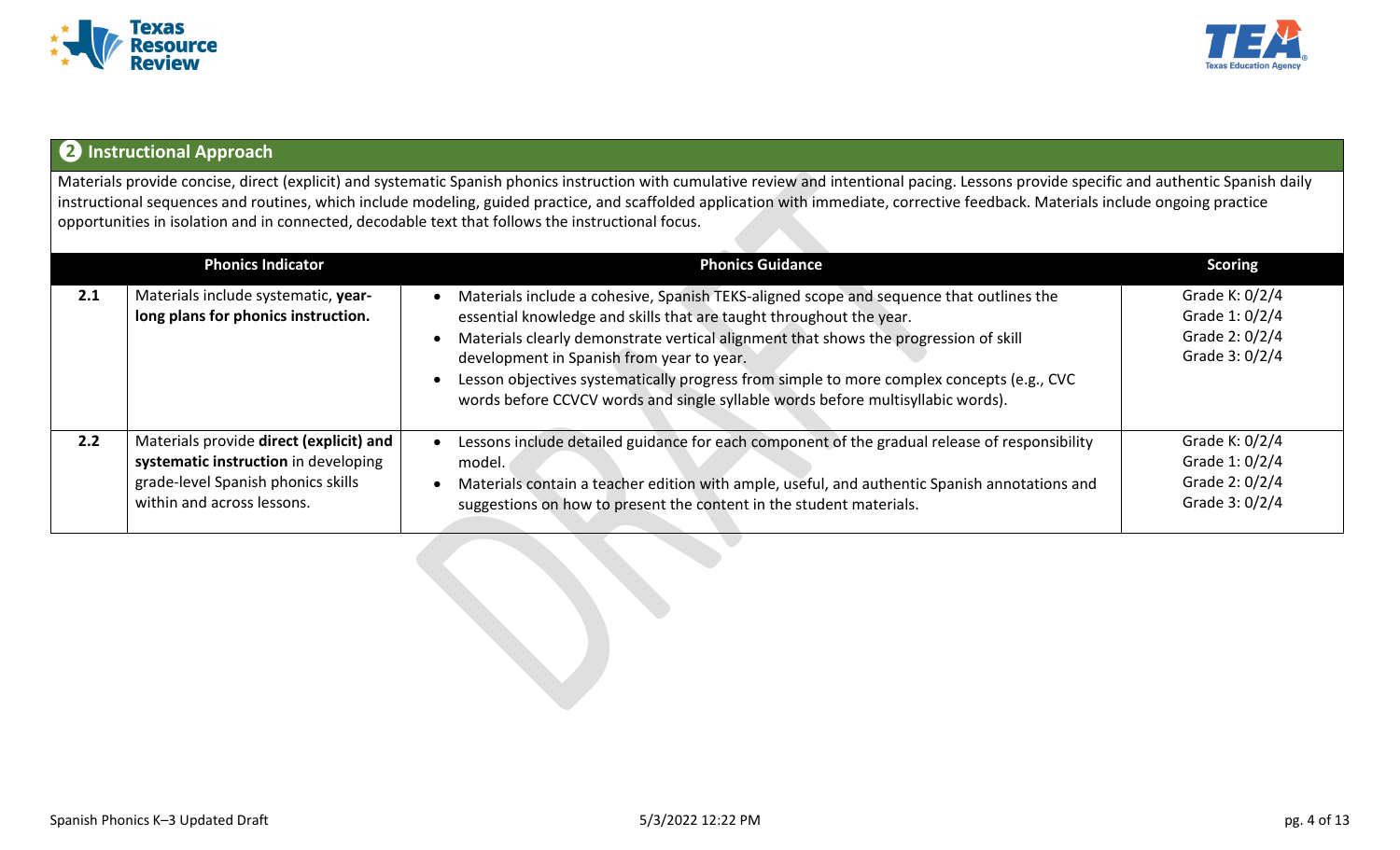



## **❷Instructional Approach**

Materials provide concise, direct (explicit) and systematic Spanish phonics instruction with cumulative review and intentional pacing. Lessons provide specific and authentic Spanish daily instructional sequences and routines, which include modeling, guided practice, and scaffolded application with immediate, corrective feedback. Materials include ongoing practice opportunities in isolation and in connected, decodable text that follows the instructional focus.

|     | <b>Phonics Indicator</b>                                                                                                                            | <b>Phonics Guidance</b>                                                                                                                                                                                                                                                                                                                                                                                                                                                             | <b>Scoring</b>                                                         |
|-----|-----------------------------------------------------------------------------------------------------------------------------------------------------|-------------------------------------------------------------------------------------------------------------------------------------------------------------------------------------------------------------------------------------------------------------------------------------------------------------------------------------------------------------------------------------------------------------------------------------------------------------------------------------|------------------------------------------------------------------------|
| 2.1 | Materials include systematic, year-<br>long plans for phonics instruction.                                                                          | Materials include a cohesive, Spanish TEKS-aligned scope and sequence that outlines the<br>essential knowledge and skills that are taught throughout the year.<br>Materials clearly demonstrate vertical alignment that shows the progression of skill<br>development in Spanish from year to year.<br>Lesson objectives systematically progress from simple to more complex concepts (e.g., CVC<br>words before CCVCV words and single syllable words before multisyllabic words). | Grade K: $0/2/4$<br>Grade 1: 0/2/4<br>Grade 2: 0/2/4<br>Grade 3: 0/2/4 |
| 2.2 | Materials provide direct (explicit) and<br>systematic instruction in developing<br>grade-level Spanish phonics skills<br>within and across lessons. | Lessons include detailed guidance for each component of the gradual release of responsibility<br>model.<br>Materials contain a teacher edition with ample, useful, and authentic Spanish annotations and<br>suggestions on how to present the content in the student materials.                                                                                                                                                                                                     | Grade K: $0/2/4$<br>Grade 1: 0/2/4<br>Grade 2: 0/2/4<br>Grade 3: 0/2/4 |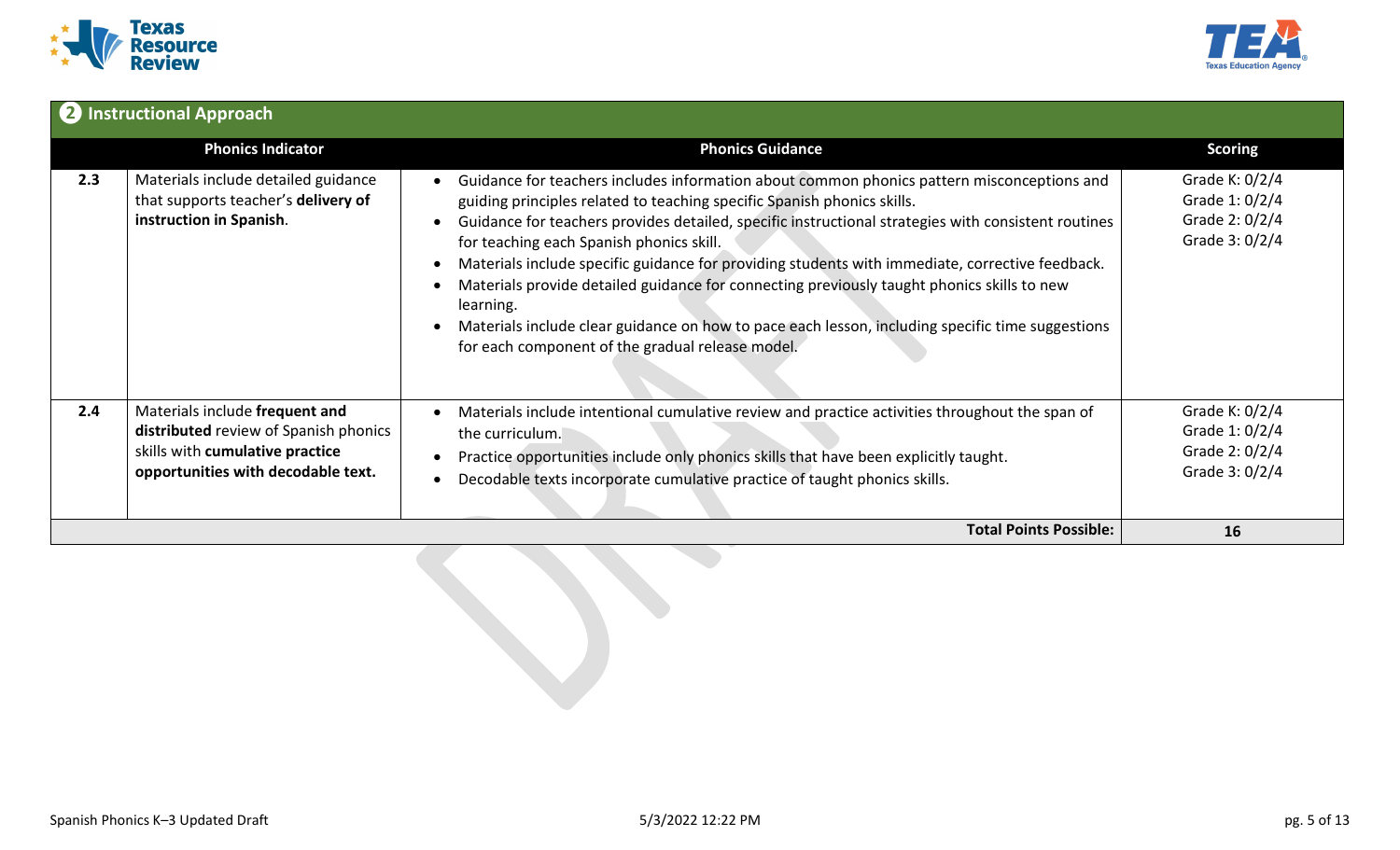



|     | 2 Instructional Approach                                                                                                                         |                                                                                                                                                                                                                                                                                                                                                                                                                                                                                                                                                                                                                                                                                                |                                                                      |
|-----|--------------------------------------------------------------------------------------------------------------------------------------------------|------------------------------------------------------------------------------------------------------------------------------------------------------------------------------------------------------------------------------------------------------------------------------------------------------------------------------------------------------------------------------------------------------------------------------------------------------------------------------------------------------------------------------------------------------------------------------------------------------------------------------------------------------------------------------------------------|----------------------------------------------------------------------|
|     | <b>Phonics Indicator</b>                                                                                                                         | <b>Phonics Guidance</b>                                                                                                                                                                                                                                                                                                                                                                                                                                                                                                                                                                                                                                                                        | <b>Scoring</b>                                                       |
| 2.3 | Materials include detailed guidance<br>that supports teacher's delivery of<br>instruction in Spanish.                                            | Guidance for teachers includes information about common phonics pattern misconceptions and<br>guiding principles related to teaching specific Spanish phonics skills.<br>Guidance for teachers provides detailed, specific instructional strategies with consistent routines<br>for teaching each Spanish phonics skill.<br>Materials include specific guidance for providing students with immediate, corrective feedback.<br>Materials provide detailed guidance for connecting previously taught phonics skills to new<br>learning.<br>Materials include clear guidance on how to pace each lesson, including specific time suggestions<br>for each component of the gradual release model. | Grade K: 0/2/4<br>Grade 1: 0/2/4<br>Grade 2: 0/2/4<br>Grade 3: 0/2/4 |
| 2.4 | Materials include frequent and<br>distributed review of Spanish phonics<br>skills with cumulative practice<br>opportunities with decodable text. | Materials include intentional cumulative review and practice activities throughout the span of<br>the curriculum.<br>Practice opportunities include only phonics skills that have been explicitly taught.<br>Decodable texts incorporate cumulative practice of taught phonics skills.                                                                                                                                                                                                                                                                                                                                                                                                         | Grade K: 0/2/4<br>Grade 1: 0/2/4<br>Grade 2: 0/2/4<br>Grade 3: 0/2/4 |
|     |                                                                                                                                                  | <b>Total Points Possible:</b>                                                                                                                                                                                                                                                                                                                                                                                                                                                                                                                                                                                                                                                                  | 16                                                                   |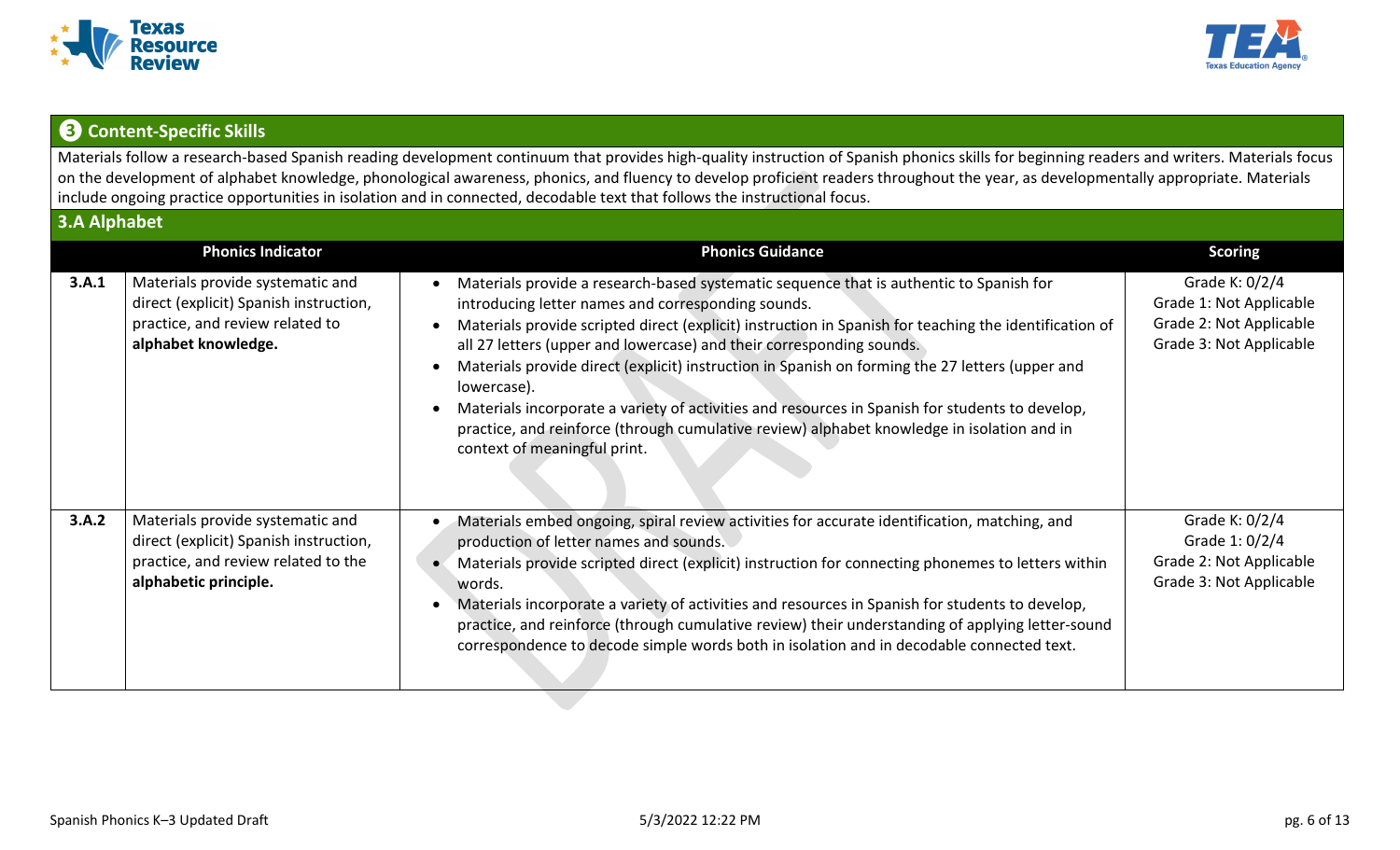



## **❸ Content-Specific Skills**

Materials follow a research-based Spanish reading development continuum that provides high-quality instruction of Spanish phonics skills for beginning readers and writers. Materials focus on the development of alphabet knowledge, phonological awareness, phonics, and fluency to develop proficient readers throughout the year, as developmentally appropriate. Materials include ongoing practice opportunities in isolation and in connected, decodable text that follows the instructional focus.

| 3.A Alphabet |                                                                                                                                            |                                                                                                                                                                                                                                                                                                                                                                                                                                                                                                                                                                                                                                                                                    |                                                                                                 |
|--------------|--------------------------------------------------------------------------------------------------------------------------------------------|------------------------------------------------------------------------------------------------------------------------------------------------------------------------------------------------------------------------------------------------------------------------------------------------------------------------------------------------------------------------------------------------------------------------------------------------------------------------------------------------------------------------------------------------------------------------------------------------------------------------------------------------------------------------------------|-------------------------------------------------------------------------------------------------|
|              | <b>Phonics Indicator</b>                                                                                                                   | <b>Phonics Guidance</b>                                                                                                                                                                                                                                                                                                                                                                                                                                                                                                                                                                                                                                                            | <b>Scoring</b>                                                                                  |
| 3.A.1        | Materials provide systematic and<br>direct (explicit) Spanish instruction,<br>practice, and review related to<br>alphabet knowledge.       | Materials provide a research-based systematic sequence that is authentic to Spanish for<br>introducing letter names and corresponding sounds.<br>Materials provide scripted direct (explicit) instruction in Spanish for teaching the identification of<br>all 27 letters (upper and lowercase) and their corresponding sounds.<br>Materials provide direct (explicit) instruction in Spanish on forming the 27 letters (upper and<br>lowercase).<br>Materials incorporate a variety of activities and resources in Spanish for students to develop,<br>practice, and reinforce (through cumulative review) alphabet knowledge in isolation and in<br>context of meaningful print. | Grade K: 0/2/4<br>Grade 1: Not Applicable<br>Grade 2: Not Applicable<br>Grade 3: Not Applicable |
| 3.A.2        | Materials provide systematic and<br>direct (explicit) Spanish instruction,<br>practice, and review related to the<br>alphabetic principle. | Materials embed ongoing, spiral review activities for accurate identification, matching, and<br>production of letter names and sounds.<br>Materials provide scripted direct (explicit) instruction for connecting phonemes to letters within<br>$\bullet$<br>words.<br>Materials incorporate a variety of activities and resources in Spanish for students to develop,<br>practice, and reinforce (through cumulative review) their understanding of applying letter-sound<br>correspondence to decode simple words both in isolation and in decodable connected text.                                                                                                             | Grade K: 0/2/4<br>Grade 1: 0/2/4<br>Grade 2: Not Applicable<br>Grade 3: Not Applicable          |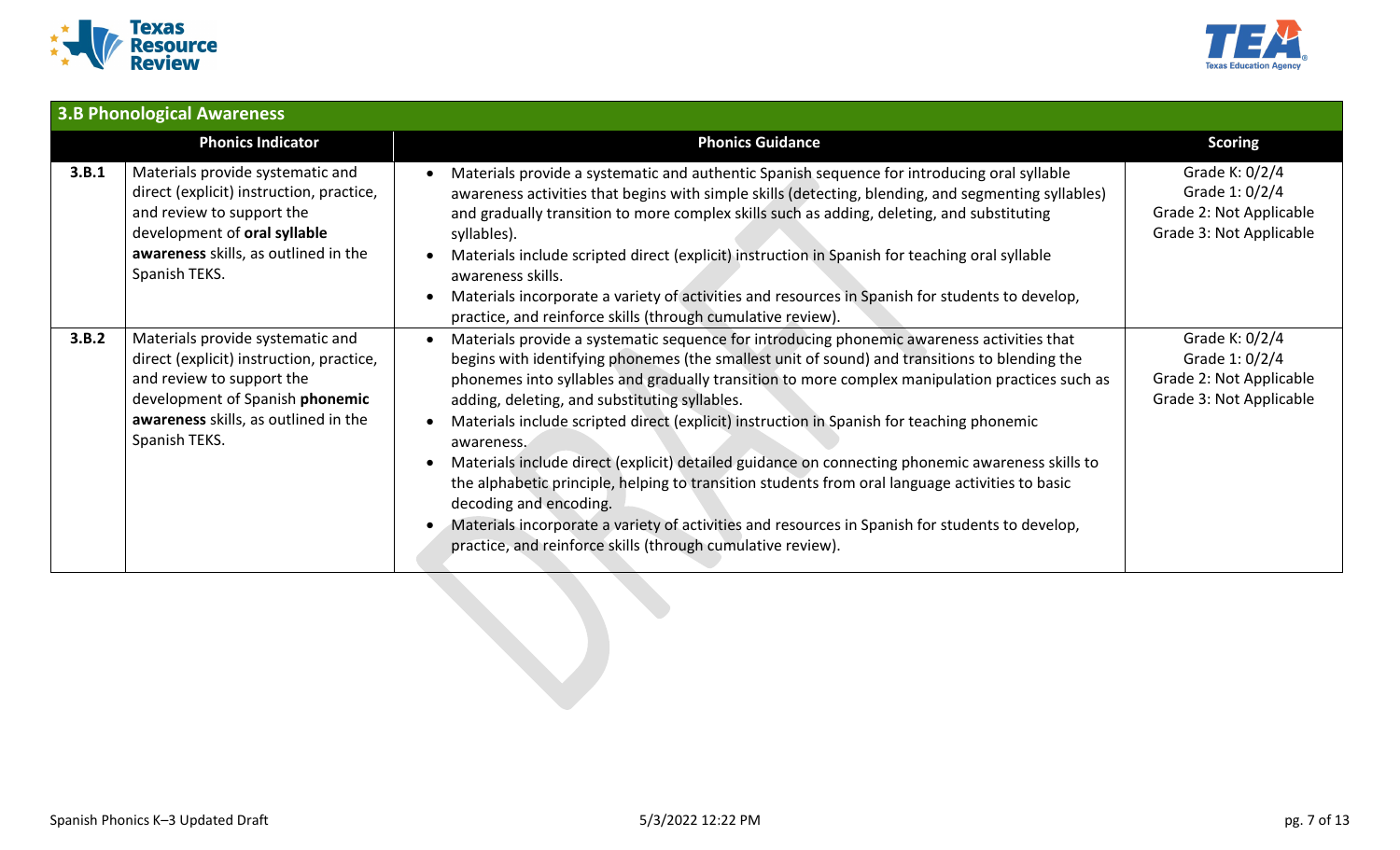



|       | <b>3.B Phonological Awareness</b>                                                                                                                                                                     |                                                                                                                                                                                                                                                                                                                                                                                                                                                                                                                                                                                                                                                                                                                                                                                                                                                               |                                                                                        |
|-------|-------------------------------------------------------------------------------------------------------------------------------------------------------------------------------------------------------|---------------------------------------------------------------------------------------------------------------------------------------------------------------------------------------------------------------------------------------------------------------------------------------------------------------------------------------------------------------------------------------------------------------------------------------------------------------------------------------------------------------------------------------------------------------------------------------------------------------------------------------------------------------------------------------------------------------------------------------------------------------------------------------------------------------------------------------------------------------|----------------------------------------------------------------------------------------|
|       | <b>Phonics Indicator</b>                                                                                                                                                                              | <b>Phonics Guidance</b>                                                                                                                                                                                                                                                                                                                                                                                                                                                                                                                                                                                                                                                                                                                                                                                                                                       | <b>Scoring</b>                                                                         |
| 3.B.1 | Materials provide systematic and<br>direct (explicit) instruction, practice,<br>and review to support the<br>development of oral syllable<br>awareness skills, as outlined in the<br>Spanish TEKS.    | Materials provide a systematic and authentic Spanish sequence for introducing oral syllable<br>awareness activities that begins with simple skills (detecting, blending, and segmenting syllables)<br>and gradually transition to more complex skills such as adding, deleting, and substituting<br>syllables).<br>Materials include scripted direct (explicit) instruction in Spanish for teaching oral syllable<br>awareness skills.<br>Materials incorporate a variety of activities and resources in Spanish for students to develop,<br>practice, and reinforce skills (through cumulative review).                                                                                                                                                                                                                                                      | Grade K: 0/2/4<br>Grade 1: 0/2/4<br>Grade 2: Not Applicable<br>Grade 3: Not Applicable |
| 3.B.2 | Materials provide systematic and<br>direct (explicit) instruction, practice,<br>and review to support the<br>development of Spanish phonemic<br>awareness skills, as outlined in the<br>Spanish TEKS. | Materials provide a systematic sequence for introducing phonemic awareness activities that<br>begins with identifying phonemes (the smallest unit of sound) and transitions to blending the<br>phonemes into syllables and gradually transition to more complex manipulation practices such as<br>adding, deleting, and substituting syllables.<br>Materials include scripted direct (explicit) instruction in Spanish for teaching phonemic<br>awareness.<br>Materials include direct (explicit) detailed guidance on connecting phonemic awareness skills to<br>the alphabetic principle, helping to transition students from oral language activities to basic<br>decoding and encoding.<br>Materials incorporate a variety of activities and resources in Spanish for students to develop,<br>practice, and reinforce skills (through cumulative review). | Grade K: 0/2/4<br>Grade 1: 0/2/4<br>Grade 2: Not Applicable<br>Grade 3: Not Applicable |
|       |                                                                                                                                                                                                       |                                                                                                                                                                                                                                                                                                                                                                                                                                                                                                                                                                                                                                                                                                                                                                                                                                                               |                                                                                        |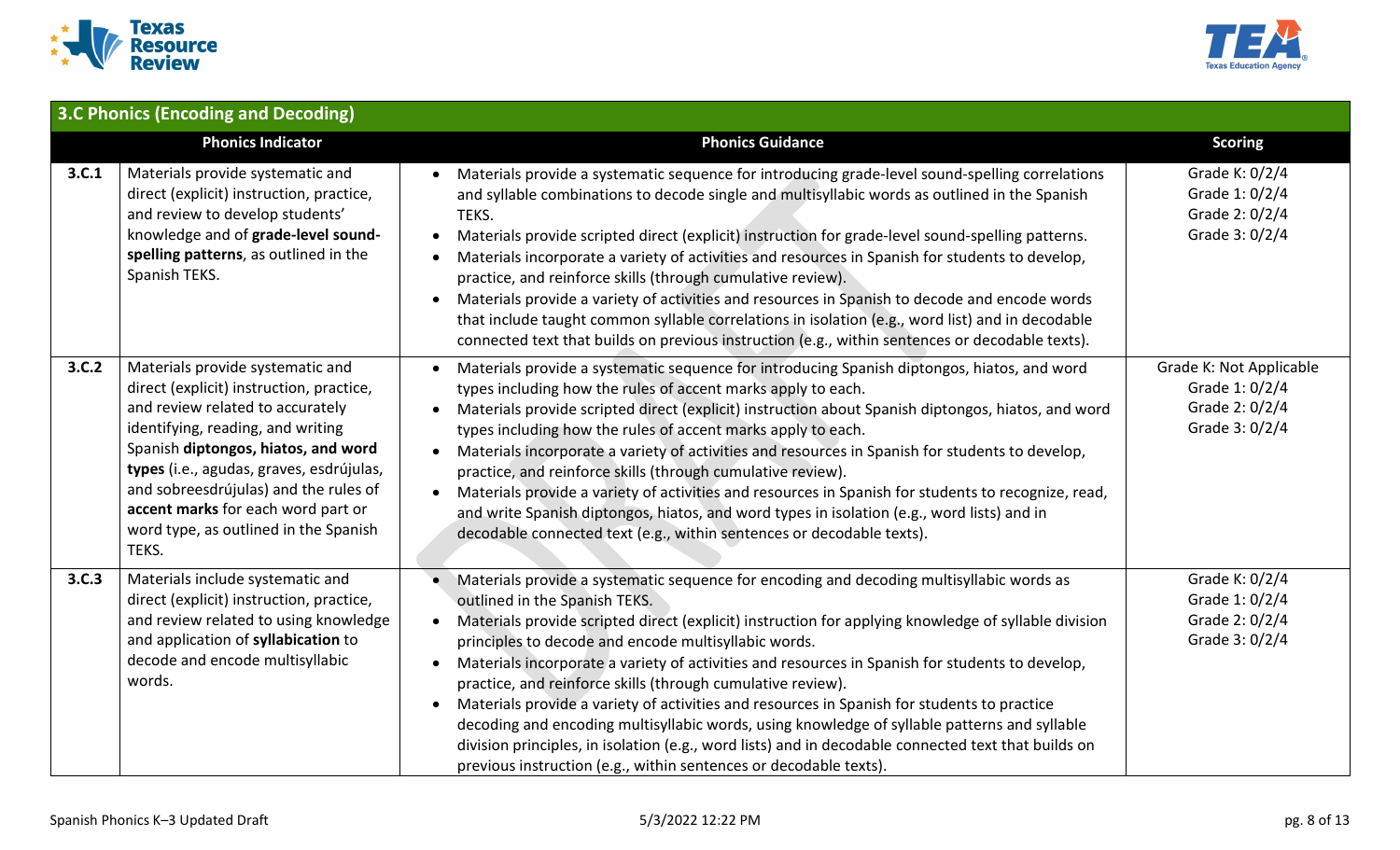



|       | 3.C Phonics (Encoding and Decoding)                                                                                                                                                                                                                                                                                                                                       |                                                                                                                                                                                                                                                                                                                                                                                                                                                                                                                                                                                                                                                                                                                                                                                                                                                                  |                                                                               |
|-------|---------------------------------------------------------------------------------------------------------------------------------------------------------------------------------------------------------------------------------------------------------------------------------------------------------------------------------------------------------------------------|------------------------------------------------------------------------------------------------------------------------------------------------------------------------------------------------------------------------------------------------------------------------------------------------------------------------------------------------------------------------------------------------------------------------------------------------------------------------------------------------------------------------------------------------------------------------------------------------------------------------------------------------------------------------------------------------------------------------------------------------------------------------------------------------------------------------------------------------------------------|-------------------------------------------------------------------------------|
|       | <b>Phonics Indicator</b>                                                                                                                                                                                                                                                                                                                                                  | <b>Phonics Guidance</b>                                                                                                                                                                                                                                                                                                                                                                                                                                                                                                                                                                                                                                                                                                                                                                                                                                          | <b>Scoring</b>                                                                |
| 3.C.1 | Materials provide systematic and<br>direct (explicit) instruction, practice,<br>and review to develop students'<br>knowledge and of grade-level sound-<br>spelling patterns, as outlined in the<br>Spanish TEKS.                                                                                                                                                          | Materials provide a systematic sequence for introducing grade-level sound-spelling correlations<br>and syllable combinations to decode single and multisyllabic words as outlined in the Spanish<br>TEKS.<br>Materials provide scripted direct (explicit) instruction for grade-level sound-spelling patterns.<br>$\bullet$<br>Materials incorporate a variety of activities and resources in Spanish for students to develop,<br>practice, and reinforce skills (through cumulative review).<br>Materials provide a variety of activities and resources in Spanish to decode and encode words<br>$\bullet$<br>that include taught common syllable correlations in isolation (e.g., word list) and in decodable<br>connected text that builds on previous instruction (e.g., within sentences or decodable texts).                                               | Grade K: 0/2/4<br>Grade 1: 0/2/4<br>Grade 2: 0/2/4<br>Grade 3: 0/2/4          |
| 3.C.2 | Materials provide systematic and<br>direct (explicit) instruction, practice,<br>and review related to accurately<br>identifying, reading, and writing<br>Spanish diptongos, hiatos, and word<br>types (i.e., agudas, graves, esdrújulas,<br>and sobreesdrújulas) and the rules of<br>accent marks for each word part or<br>word type, as outlined in the Spanish<br>TEKS. | Materials provide a systematic sequence for introducing Spanish diptongos, hiatos, and word<br>types including how the rules of accent marks apply to each.<br>Materials provide scripted direct (explicit) instruction about Spanish diptongos, hiatos, and word<br>types including how the rules of accent marks apply to each.<br>Materials incorporate a variety of activities and resources in Spanish for students to develop,<br>$\bullet$<br>practice, and reinforce skills (through cumulative review).<br>Materials provide a variety of activities and resources in Spanish for students to recognize, read,<br>$\bullet$<br>and write Spanish diptongos, hiatos, and word types in isolation (e.g., word lists) and in<br>decodable connected text (e.g., within sentences or decodable texts).                                                      | Grade K: Not Applicable<br>Grade 1: 0/2/4<br>Grade 2: 0/2/4<br>Grade 3: 0/2/4 |
| 3.C.3 | Materials include systematic and<br>direct (explicit) instruction, practice,<br>and review related to using knowledge<br>and application of syllabication to<br>decode and encode multisyllabic<br>words.                                                                                                                                                                 | Materials provide a systematic sequence for encoding and decoding multisyllabic words as<br>outlined in the Spanish TEKS.<br>Materials provide scripted direct (explicit) instruction for applying knowledge of syllable division<br>$\bullet$<br>principles to decode and encode multisyllabic words.<br>Materials incorporate a variety of activities and resources in Spanish for students to develop,<br>$\bullet$<br>practice, and reinforce skills (through cumulative review).<br>Materials provide a variety of activities and resources in Spanish for students to practice<br>decoding and encoding multisyllabic words, using knowledge of syllable patterns and syllable<br>division principles, in isolation (e.g., word lists) and in decodable connected text that builds on<br>previous instruction (e.g., within sentences or decodable texts). | Grade K: 0/2/4<br>Grade 1: 0/2/4<br>Grade 2: 0/2/4<br>Grade 3: 0/2/4          |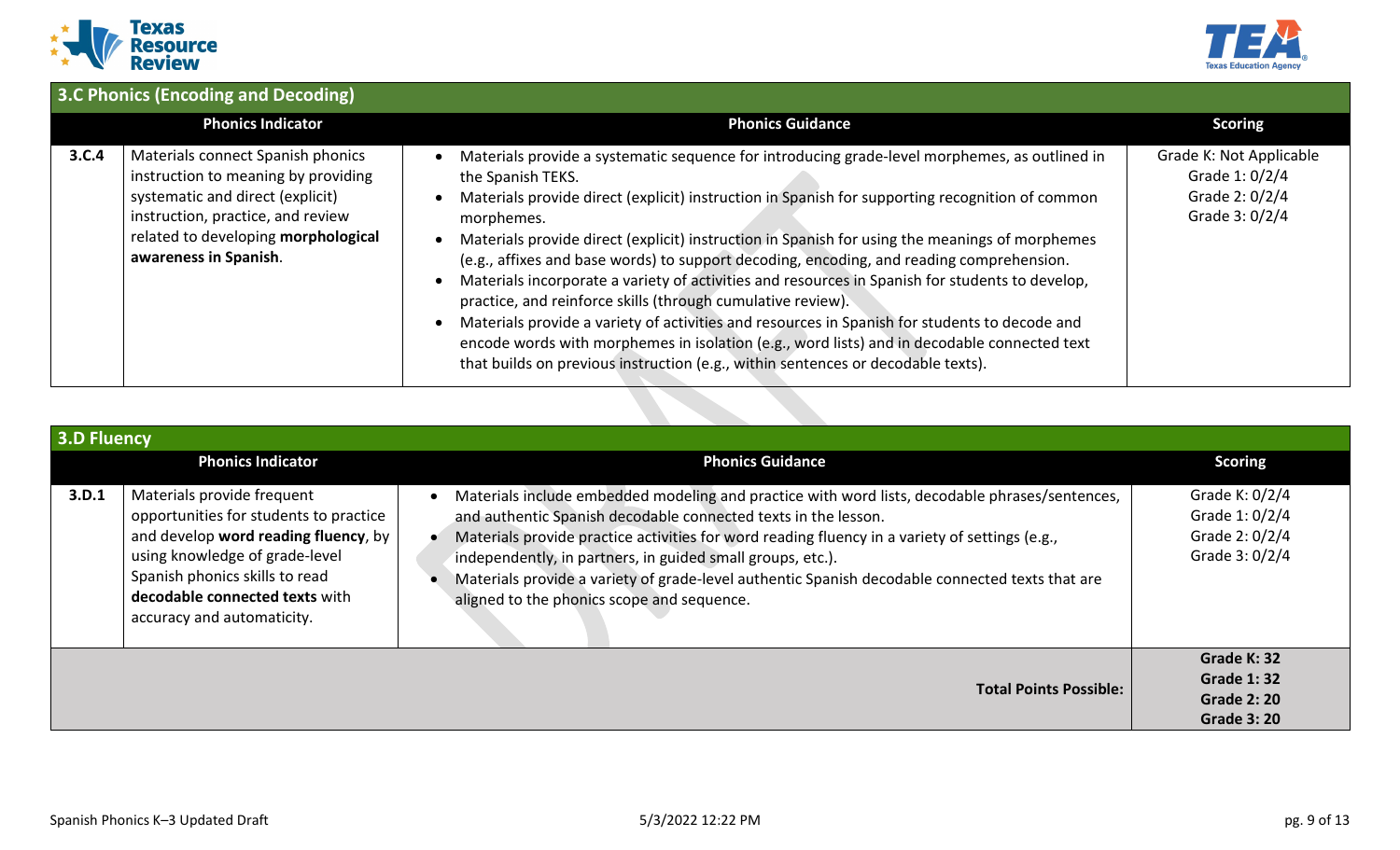



|       | 3.C Phonics (Encoding and Decoding)                                                                                                                                                                               |                                                                                                                                                                                                                                                                                                                                                                                                                                                                                                                                                                                                                                                                                                                                                                                                                                                                                         |                                                                               |  |
|-------|-------------------------------------------------------------------------------------------------------------------------------------------------------------------------------------------------------------------|-----------------------------------------------------------------------------------------------------------------------------------------------------------------------------------------------------------------------------------------------------------------------------------------------------------------------------------------------------------------------------------------------------------------------------------------------------------------------------------------------------------------------------------------------------------------------------------------------------------------------------------------------------------------------------------------------------------------------------------------------------------------------------------------------------------------------------------------------------------------------------------------|-------------------------------------------------------------------------------|--|
|       | <b>Phonics Indicator</b>                                                                                                                                                                                          | <b>Phonics Guidance</b>                                                                                                                                                                                                                                                                                                                                                                                                                                                                                                                                                                                                                                                                                                                                                                                                                                                                 | <b>Scoring</b>                                                                |  |
| 3.C.4 | Materials connect Spanish phonics<br>instruction to meaning by providing<br>systematic and direct (explicit)<br>instruction, practice, and review<br>related to developing morphological<br>awareness in Spanish. | Materials provide a systematic sequence for introducing grade-level morphemes, as outlined in<br>the Spanish TEKS.<br>Materials provide direct (explicit) instruction in Spanish for supporting recognition of common<br>morphemes.<br>Materials provide direct (explicit) instruction in Spanish for using the meanings of morphemes<br>(e.g., affixes and base words) to support decoding, encoding, and reading comprehension.<br>Materials incorporate a variety of activities and resources in Spanish for students to develop,<br>practice, and reinforce skills (through cumulative review).<br>Materials provide a variety of activities and resources in Spanish for students to decode and<br>encode words with morphemes in isolation (e.g., word lists) and in decodable connected text<br>that builds on previous instruction (e.g., within sentences or decodable texts). | Grade K: Not Applicable<br>Grade 1: 0/2/4<br>Grade 2: 0/2/4<br>Grade 3: 0/2/4 |  |

|       | <b>3.D Fluency</b>                                                                                                                                                                                                                               |                                                                                                                                                                                                                                                                                                                                                                                                                                                                                   |                                                                             |  |
|-------|--------------------------------------------------------------------------------------------------------------------------------------------------------------------------------------------------------------------------------------------------|-----------------------------------------------------------------------------------------------------------------------------------------------------------------------------------------------------------------------------------------------------------------------------------------------------------------------------------------------------------------------------------------------------------------------------------------------------------------------------------|-----------------------------------------------------------------------------|--|
|       | <b>Phonics Indicator</b>                                                                                                                                                                                                                         | <b>Phonics Guidance</b>                                                                                                                                                                                                                                                                                                                                                                                                                                                           | <b>Scoring</b>                                                              |  |
| 3.D.1 | Materials provide frequent<br>opportunities for students to practice<br>and develop word reading fluency, by<br>using knowledge of grade-level<br>Spanish phonics skills to read<br>decodable connected texts with<br>accuracy and automaticity. | Materials include embedded modeling and practice with word lists, decodable phrases/sentences,<br>and authentic Spanish decodable connected texts in the lesson.<br>Materials provide practice activities for word reading fluency in a variety of settings (e.g.,<br>independently, in partners, in guided small groups, etc.).<br>Materials provide a variety of grade-level authentic Spanish decodable connected texts that are<br>aligned to the phonics scope and sequence. | Grade K: 0/2/4<br>Grade 1: 0/2/4<br>Grade 2: 0/2/4<br>Grade 3: 0/2/4        |  |
|       |                                                                                                                                                                                                                                                  | <b>Total Points Possible:</b>                                                                                                                                                                                                                                                                                                                                                                                                                                                     | Grade K: 32<br><b>Grade 1:32</b><br><b>Grade 2: 20</b><br><b>Grade 3:20</b> |  |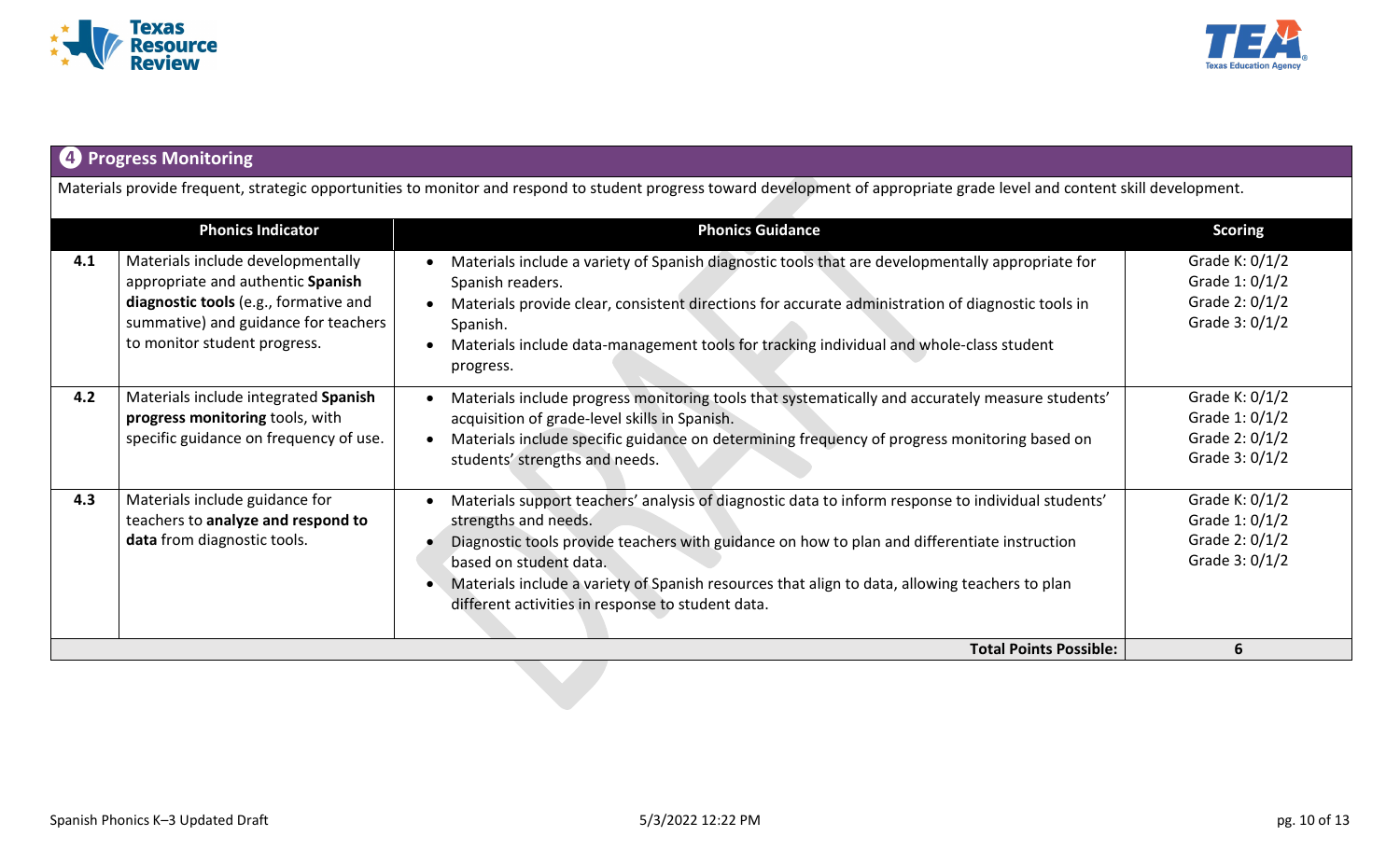



# **❹Progress Monitoring**

Materials provide frequent, strategic opportunities to monitor and respond to student progress toward development of appropriate grade level and content skill development.

|     | <b>Phonics Indicator</b>                                                                                                                                                                | <b>Phonics Guidance</b>                                                                                                                                                                                                                                                                                                                                                                                     | <b>Scoring</b>                                                         |
|-----|-----------------------------------------------------------------------------------------------------------------------------------------------------------------------------------------|-------------------------------------------------------------------------------------------------------------------------------------------------------------------------------------------------------------------------------------------------------------------------------------------------------------------------------------------------------------------------------------------------------------|------------------------------------------------------------------------|
| 4.1 | Materials include developmentally<br>appropriate and authentic Spanish<br>diagnostic tools (e.g., formative and<br>summative) and guidance for teachers<br>to monitor student progress. | Materials include a variety of Spanish diagnostic tools that are developmentally appropriate for<br>Spanish readers.<br>Materials provide clear, consistent directions for accurate administration of diagnostic tools in<br>Spanish.<br>Materials include data-management tools for tracking individual and whole-class student<br>progress.                                                               | Grade K: $0/1/2$<br>Grade 1: 0/1/2<br>Grade 2: 0/1/2<br>Grade 3: 0/1/2 |
| 4.2 | Materials include integrated Spanish<br>progress monitoring tools, with<br>specific guidance on frequency of use.                                                                       | Materials include progress monitoring tools that systematically and accurately measure students'<br>acquisition of grade-level skills in Spanish.<br>Materials include specific guidance on determining frequency of progress monitoring based on<br>students' strengths and needs.                                                                                                                         | Grade K: 0/1/2<br>Grade 1: 0/1/2<br>Grade 2: 0/1/2<br>Grade 3: 0/1/2   |
| 4.3 | Materials include guidance for<br>teachers to analyze and respond to<br>data from diagnostic tools.                                                                                     | Materials support teachers' analysis of diagnostic data to inform response to individual students'<br>strengths and needs.<br>Diagnostic tools provide teachers with guidance on how to plan and differentiate instruction<br>based on student data.<br>Materials include a variety of Spanish resources that align to data, allowing teachers to plan<br>different activities in response to student data. | Grade K: 0/1/2<br>Grade 1: 0/1/2<br>Grade 2: 0/1/2<br>Grade 3: 0/1/2   |
|     |                                                                                                                                                                                         | <b>Total Points Possible:</b>                                                                                                                                                                                                                                                                                                                                                                               | 6                                                                      |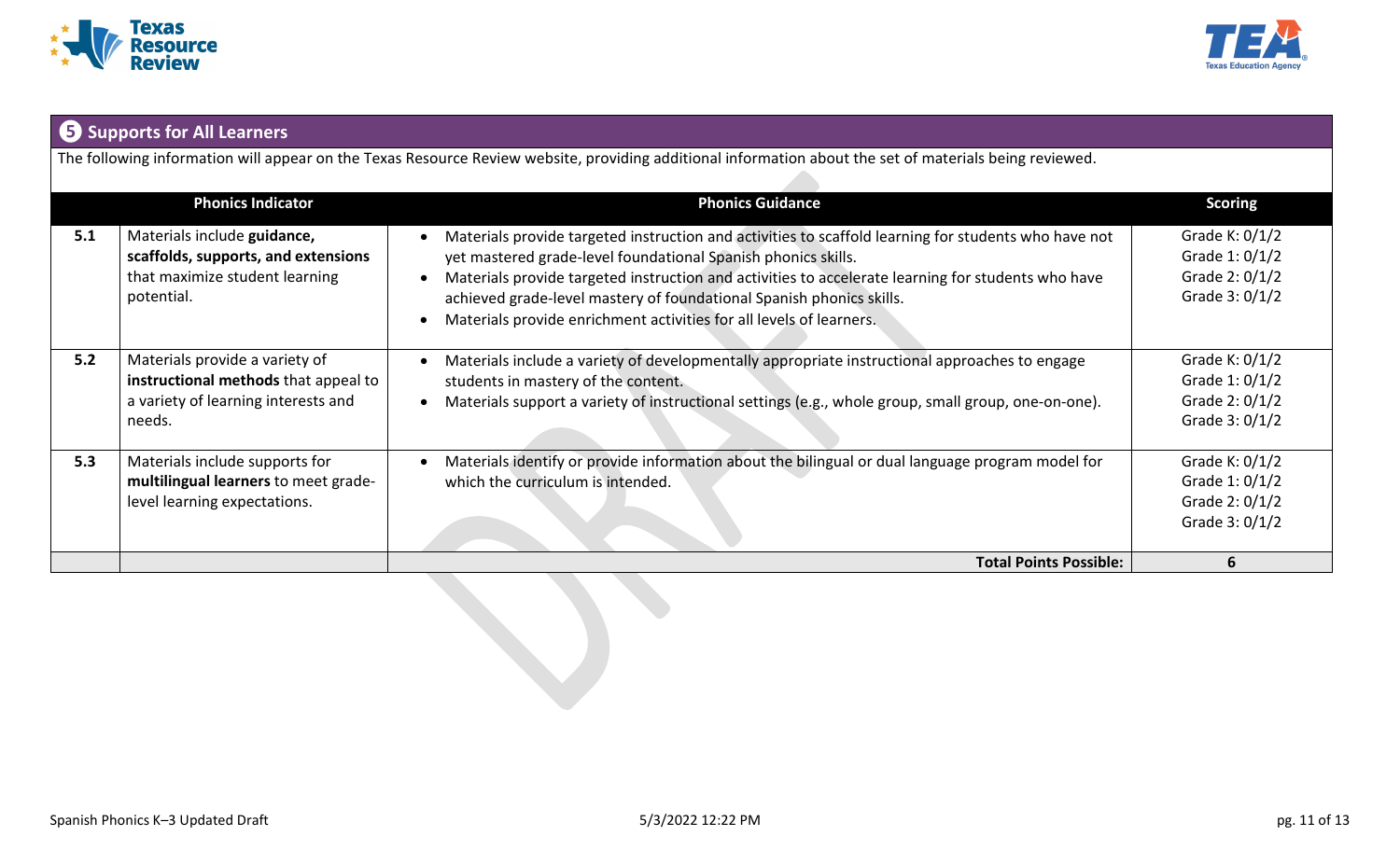



# **❺ Supports for All Learners**

The following information will appear on the Texas Resource Review website, providing additional information about the set of materials being reviewed.

|     | <b>Phonics Indicator</b>                                                                                                | <b>Phonics Guidance</b>                                                                                                                                                                                                                                                                                                                                                                                                    | <b>Scoring</b>                                                         |
|-----|-------------------------------------------------------------------------------------------------------------------------|----------------------------------------------------------------------------------------------------------------------------------------------------------------------------------------------------------------------------------------------------------------------------------------------------------------------------------------------------------------------------------------------------------------------------|------------------------------------------------------------------------|
| 5.1 | Materials include guidance,<br>scaffolds, supports, and extensions<br>that maximize student learning<br>potential.      | Materials provide targeted instruction and activities to scaffold learning for students who have not<br>yet mastered grade-level foundational Spanish phonics skills.<br>Materials provide targeted instruction and activities to accelerate learning for students who have<br>achieved grade-level mastery of foundational Spanish phonics skills.<br>Materials provide enrichment activities for all levels of learners. | Grade K: $0/1/2$<br>Grade 1: 0/1/2<br>Grade 2: 0/1/2<br>Grade 3: 0/1/2 |
| 5.2 | Materials provide a variety of<br>instructional methods that appeal to<br>a variety of learning interests and<br>needs. | Materials include a variety of developmentally appropriate instructional approaches to engage<br>students in mastery of the content.<br>Materials support a variety of instructional settings (e.g., whole group, small group, one-on-one).                                                                                                                                                                                | Grade K: 0/1/2<br>Grade 1: 0/1/2<br>Grade 2: 0/1/2<br>Grade 3: 0/1/2   |
| 5.3 | Materials include supports for<br>multilingual learners to meet grade-<br>level learning expectations.                  | Materials identify or provide information about the bilingual or dual language program model for<br>which the curriculum is intended.                                                                                                                                                                                                                                                                                      | Grade K: $0/1/2$<br>Grade 1: 0/1/2<br>Grade 2: 0/1/2<br>Grade 3: 0/1/2 |
|     |                                                                                                                         | <b>Total Points Possible:</b>                                                                                                                                                                                                                                                                                                                                                                                              | 6                                                                      |
|     |                                                                                                                         |                                                                                                                                                                                                                                                                                                                                                                                                                            |                                                                        |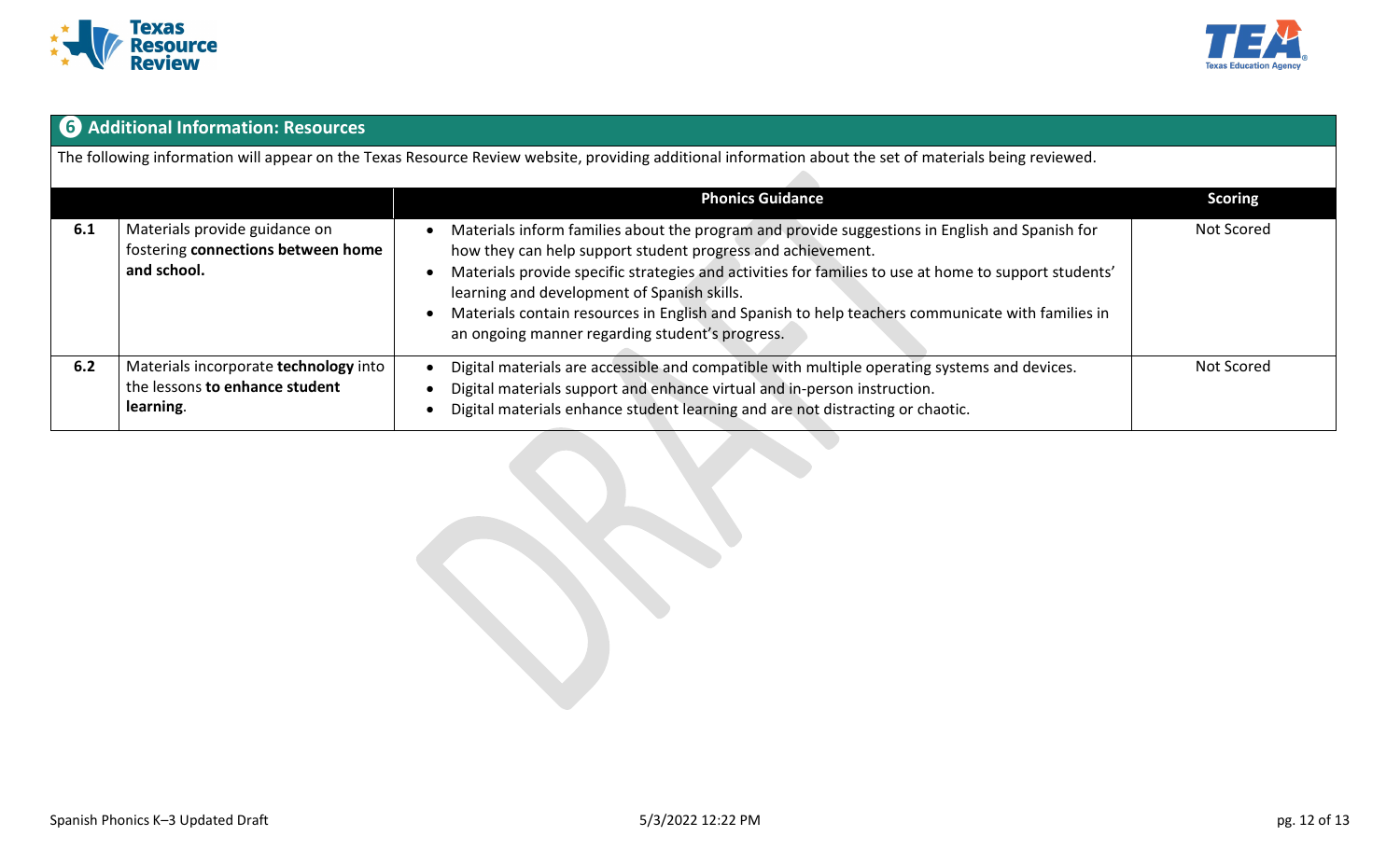



# **❻ Additional Information: Resources**

The following information will appear on the Texas Resource Review website, providing additional information about the set of materials being reviewed.

|     |                                                                                      | <b>Phonics Guidance</b>                                                                                                                                                                                                                                                                                                                                                                                                                                                      | <b>Scoring</b> |
|-----|--------------------------------------------------------------------------------------|------------------------------------------------------------------------------------------------------------------------------------------------------------------------------------------------------------------------------------------------------------------------------------------------------------------------------------------------------------------------------------------------------------------------------------------------------------------------------|----------------|
| 6.1 | Materials provide guidance on<br>fostering connections between home<br>and school.   | Materials inform families about the program and provide suggestions in English and Spanish for<br>how they can help support student progress and achievement.<br>Materials provide specific strategies and activities for families to use at home to support students'<br>learning and development of Spanish skills.<br>Materials contain resources in English and Spanish to help teachers communicate with families in<br>an ongoing manner regarding student's progress. | Not Scored     |
| 6.2 | Materials incorporate technology into<br>the lessons to enhance student<br>learning. | Digital materials are accessible and compatible with multiple operating systems and devices.<br>Digital materials support and enhance virtual and in-person instruction.<br>Digital materials enhance student learning and are not distracting or chaotic.                                                                                                                                                                                                                   | Not Scored     |